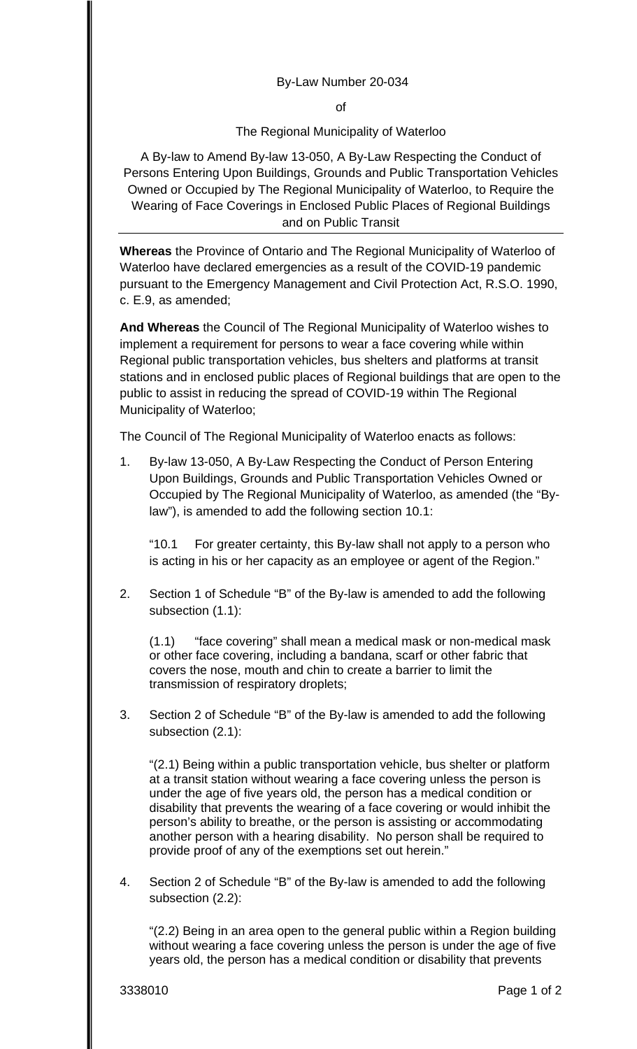## By-Law Number 20-034

of

## The Regional Municipality of Waterloo

A By-law to Amend By-law 13-050, A By-Law Respecting the Conduct of Persons Entering Upon Buildings, Grounds and Public Transportation Vehicles Owned or Occupied by The Regional Municipality of Waterloo, to Require the Wearing of Face Coverings in Enclosed Public Places of Regional Buildings and on Public Transit

**Whereas** the Province of Ontario and The Regional Municipality of Waterloo of Waterloo have declared emergencies as a result of the COVID-19 pandemic pursuant to the Emergency Management and Civil Protection Act, R.S.O. 1990, c. E.9, as amended;

**And Whereas** the Council of The Regional Municipality of Waterloo wishes to implement a requirement for persons to wear a face covering while within Regional public transportation vehicles, bus shelters and platforms at transit stations and in enclosed public places of Regional buildings that are open to the public to assist in reducing the spread of COVID-19 within The Regional Municipality of Waterloo;

The Council of The Regional Municipality of Waterloo enacts as follows:

1. By-law 13-050, A By-Law Respecting the Conduct of Person Entering Upon Buildings, Grounds and Public Transportation Vehicles Owned or Occupied by The Regional Municipality of Waterloo, as amended (the "Bylaw"), is amended to add the following section 10.1:

"10.1 For greater certainty, this By-law shall not apply to a person who is acting in his or her capacity as an employee or agent of the Region."

2. Section 1 of Schedule "B" of the By-law is amended to add the following subsection (1.1):

(1.1) "face covering" shall mean a medical mask or non-medical mask or other face covering, including a bandana, scarf or other fabric that covers the nose, mouth and chin to create a barrier to limit the transmission of respiratory droplets;

3. Section 2 of Schedule "B" of the By-law is amended to add the following subsection (2.1):

"(2.1) Being within a public transportation vehicle, bus shelter or platform at a transit station without wearing a face covering unless the person is under the age of five years old, the person has a medical condition or disability that prevents the wearing of a face covering or would inhibit the person's ability to breathe, or the person is assisting or accommodating another person with a hearing disability. No person shall be required to provide proof of any of the exemptions set out herein."

4. Section 2 of Schedule "B" of the By-law is amended to add the following subsection (2.2):

"(2.2) Being in an area open to the general public within a Region building without wearing a face covering unless the person is under the age of five years old, the person has a medical condition or disability that prevents